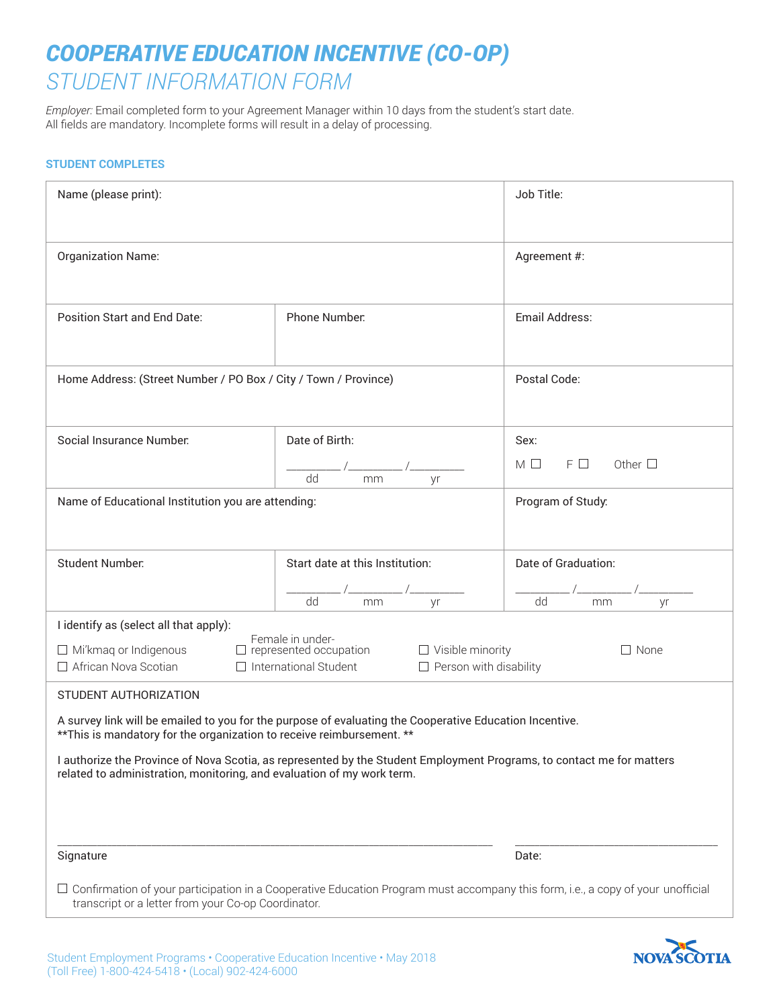## *COOPERATIVE EDUCATION INCENTIVE (CO-OP) STUDENT INFORMATION FORM*

*Employer:* Email completed form to your Agreement Manager within 10 days from the student's start date. All fields are mandatory. Incomplete forms will result in a delay of processing.

## **STUDENT COMPLETES**

| Name (please print):                                                                                                                                                                                                                                             |                                 | Job Title:                        |
|------------------------------------------------------------------------------------------------------------------------------------------------------------------------------------------------------------------------------------------------------------------|---------------------------------|-----------------------------------|
| <b>Organization Name:</b>                                                                                                                                                                                                                                        |                                 | Agreement #:                      |
| <b>Position Start and End Date:</b>                                                                                                                                                                                                                              | Phone Number.                   | Email Address:                    |
| Home Address: (Street Number / PO Box / City / Town / Province)                                                                                                                                                                                                  |                                 | Postal Code:                      |
| Social Insurance Number.                                                                                                                                                                                                                                         | Date of Birth:                  | Sex:                              |
|                                                                                                                                                                                                                                                                  | dd<br>mm<br>yr                  | $F \Box$<br>Other $\square$<br>МΗ |
| Name of Educational Institution you are attending:                                                                                                                                                                                                               |                                 | Program of Study:                 |
| <b>Student Number:</b>                                                                                                                                                                                                                                           | Start date at this Institution: | Date of Graduation:               |
|                                                                                                                                                                                                                                                                  | dd<br>mm<br>yr                  | dd<br>mm<br>yr                    |
| I identify as (select all that apply):<br>Female in under-<br>$\Box$ Mi'kmaq or Indigenous<br>$\Box$ represented occupation<br>$\Box$ Visible minority<br>$\Box$ None<br>□ African Nova Scotian<br>$\Box$ International Student<br>$\Box$ Person with disability |                                 |                                   |
| STUDENT AUTHORIZATION                                                                                                                                                                                                                                            |                                 |                                   |
| A survey link will be emailed to you for the purpose of evaluating the Cooperative Education Incentive.<br>** This is mandatory for the organization to receive reimbursement. **                                                                                |                                 |                                   |
| I authorize the Province of Nova Scotia, as represented by the Student Employment Programs, to contact me for matters<br>related to administration, monitoring, and evaluation of my work term.                                                                  |                                 |                                   |
|                                                                                                                                                                                                                                                                  |                                 |                                   |
| Signature                                                                                                                                                                                                                                                        |                                 | Date:                             |
| □ Confirmation of your participation in a Cooperative Education Program must accompany this form, i.e., a copy of your unofficial<br>transcript or a letter from your Co-op Coordinator.                                                                         |                                 |                                   |